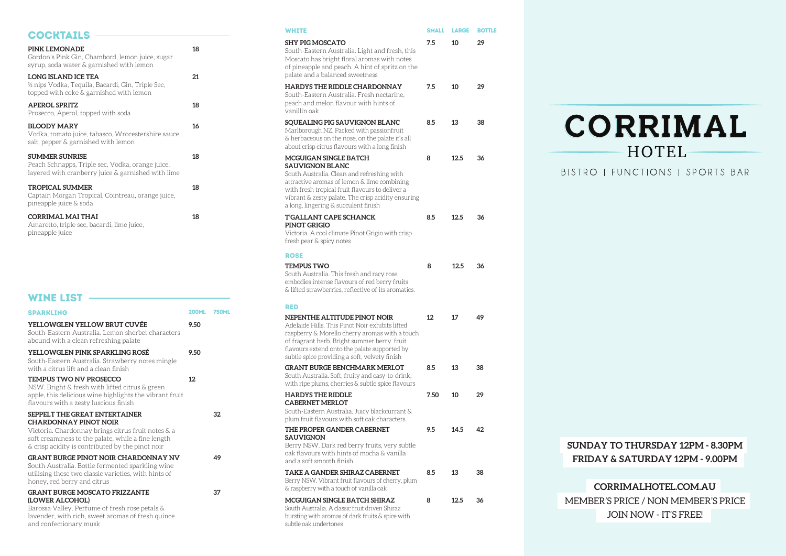**SUNDAY TO THURSDAY 12PM - 8.30PM**

HOTEL-

**FRIDAY & SATURDAY 12PM - 9.00PM**

# **CORRIMALHOTEL.COM.AU** MEMBER'S PRICE / NON MEMBER'S PRICE JOIN NOW - IT'S FREE!

| <b>COCKTAILS</b>                                                                                                                                             |              |              | <b>WHITE</b>                                                                                                                                                                                                  | <b>SMALL</b> | <b>LARGE</b> | <b>BOTTLE</b> |
|--------------------------------------------------------------------------------------------------------------------------------------------------------------|--------------|--------------|---------------------------------------------------------------------------------------------------------------------------------------------------------------------------------------------------------------|--------------|--------------|---------------|
| PINK LEMONADE<br>Gordon's Pink Gin, Chambord, lemon juice, sugar<br>syrup, soda water & garnished with lemon<br><b>LONG ISLAND ICE TEA</b>                   | 18<br>21     |              | <b>SHY PIG MOSCATO</b><br>South-Eastern Australia. Light and fresh, this<br>Moscato has bright floral aromas with notes<br>of pineapple and peach. A hint of spritz on the<br>palate and a balanced sweetness | 7.5          | 10           | 29            |
| ½ nips Vodka, Tequila, Bacardi, Gin, Triple Sec,<br>topped with coke & garnished with lemon                                                                  |              |              | <b>HARDYS THE RIDDLE CHARDONNAY</b><br>South-Eastern Australia. Fresh nectarine,                                                                                                                              | 7.5          | 10           | 29            |
| <b>APEROL SPRITZ</b><br>Prosecco, Aperol, topped with soda                                                                                                   | 18           |              | peach and melon flavour with hints of<br>vanillin oak                                                                                                                                                         |              |              |               |
| <b>BLOODY MARY</b><br>Vodka, tomato juice, tabasco, Wrocestershire sauce,<br>salt, pepper & garnished with lemon                                             | 16           |              | SQUEALING PIG SAUVIGNON BLANC<br>Marlborough NZ. Packed with passionfruit<br>& herbaceous on the nose, on the palate it's all<br>about crisp citrus flavours with a long finish                               | 8.5          | 13           | 38            |
| <b>SUMMER SUNRISE</b><br>Peach Schnapps, Triple sec, Vodka, orange juice,<br>layered with cranberry juice $\&$ garnished with lime                           | 18           |              | MCGUIGAN SINGLE BATCH<br><b>SAUVIGNON BLANC</b><br>South Australia. Clean and refreshing with<br>attractive aromas of lemon & lime combining                                                                  | 8            | 12.5         | 36            |
| <b>TROPICAL SUMMER</b><br>Captain Morgan Tropical, Cointreau, orange juice,<br>pineapple juice & soda                                                        | 18           |              | with fresh tropical fruit flavours to deliver a<br>vibrant & zesty palate. The crisp acidity ensuring<br>a long, lingering & succulent finish                                                                 |              |              |               |
| <b>CORRIMAL MAI THAI</b><br>Amaretto, triple sec, bacardi, lime juice,<br>pineapple juice                                                                    | 18           |              | <b>T'GALLANT CAPE SCHANCK</b><br>PINOT GRIGIO<br>Victoria. A cool climate Pinot Grigio with crisp<br>fresh pear & spicy notes                                                                                 | 8.5          | 12.5         | 36            |
|                                                                                                                                                              |              |              | <b>ROSE</b>                                                                                                                                                                                                   |              |              |               |
| <b>WINE LIST</b>                                                                                                                                             |              |              | <b>TEMPUS TWO</b><br>South Australia. This fresh and racy rose<br>embodies intense flavours of red berry fruits<br>& lifted strawberries, reflective of its aromatics.                                        | 8            | 12.5         | 36            |
|                                                                                                                                                              |              |              | <b>RED</b>                                                                                                                                                                                                    |              |              |               |
| <b>SPARKLING</b>                                                                                                                                             | <b>200ML</b> | <b>750ML</b> | NEPENTHE ALTITUDE PINOT NOIR                                                                                                                                                                                  | 12           | 17           | 49            |
| YELLOWGLEN YELLOW BRUT CUVÉE<br>South-Eastern Australia. Lemon sherbet characters<br>abound with a clean refreshing palate                                   | 9.50         |              | Adelaide Hills. This Pinot Noir exhibits lifted<br>raspberry & Morello cherry aromas with a touch<br>of fragrant herb. Bright summer berry fruit                                                              |              |              |               |
| YELLOWGLEN PINK SPARKLING ROSÉ<br>South-Eastern Australia. Strawberry notes mingle                                                                           | 9.50         |              | flavours extend onto the palate supported by<br>subtle spice providing a soft, velvety finish                                                                                                                 |              |              |               |
| with a citrus lift and a clean finish<br><b>TEMPUS TWO NV PROSECCO</b><br>NSW. Bright & fresh with lifted citrus & green                                     | 12           |              | <b>GRANT BURGE BENCHMARK MERLOT</b><br>South Australia. Soft, fruity and easy-to-drink,<br>with ripe plums, cherries & subtle spice flavours                                                                  | 8.5          | 13           | 38            |
| apple, this delicious wine highlights the vibrant fruit<br>flavours with a zesty luscious finish                                                             |              |              | <b>HARDYS THE RIDDLE</b><br><b>CABERNET MERLOT</b>                                                                                                                                                            | 7.50         | 10           | 29            |
| SEPPELT THE GREAT ENTERTAINER<br><b>CHARDONNAY PINOT NOIR</b>                                                                                                |              | 32           | South-Eastern Australia. Juicy blackcurrant &<br>plum fruit flavours with soft oak characters                                                                                                                 |              |              |               |
| Victoria. Chardonnay brings citrus fruit notes & a<br>soft creaminess to the palate, while a fine length<br>& crisp acidity is contributed by the pinot noir |              |              | THE PROPER GANDER CABERNET<br><b>SAUVIGNON</b><br>Berry NSW. Dark red berry fruits, very subtle<br>oak flavours with hints of mocha & vanilla                                                                 | 9.5          | 14.5         | 42            |
| <b>GRANT BURGE PINOT NOIR CHARDONNAY NV</b><br>South Australia. Bottle fermented sparkling wine<br>utilising these two classic varieties, with hints of      |              | 49           | and a soft smooth finish<br>TAKE A GANDER SHIRAZ CABERNET                                                                                                                                                     | 8.5          | 13           | 38            |
| honey, red berry and citrus                                                                                                                                  |              |              | Berry NSW. Vibrant fruit flavours of cherry, plum                                                                                                                                                             |              |              |               |
| <b>GRANT BURGE MOSCATO FRIZZANTE</b>                                                                                                                         |              | 37           | & raspberry with a touch of vanilla oak                                                                                                                                                                       |              |              |               |
| (LOWER ALCOHOL)<br>Barossa Valley. Perfume of fresh rose petals &<br>lavender, with rich, sweet aromas of fresh quince<br>and confectionary musk             |              |              | MCGUIGAN SINGLE BATCH SHIRAZ<br>South Australia. A classic fruit driven Shiraz<br>bursting with aromas of dark fruits & spice with<br>subtle oak undertones                                                   | 8            | 12.5         | 36            |

# CORRIMAL

BISTRO | FUNCTIONS | SPORTS BAR